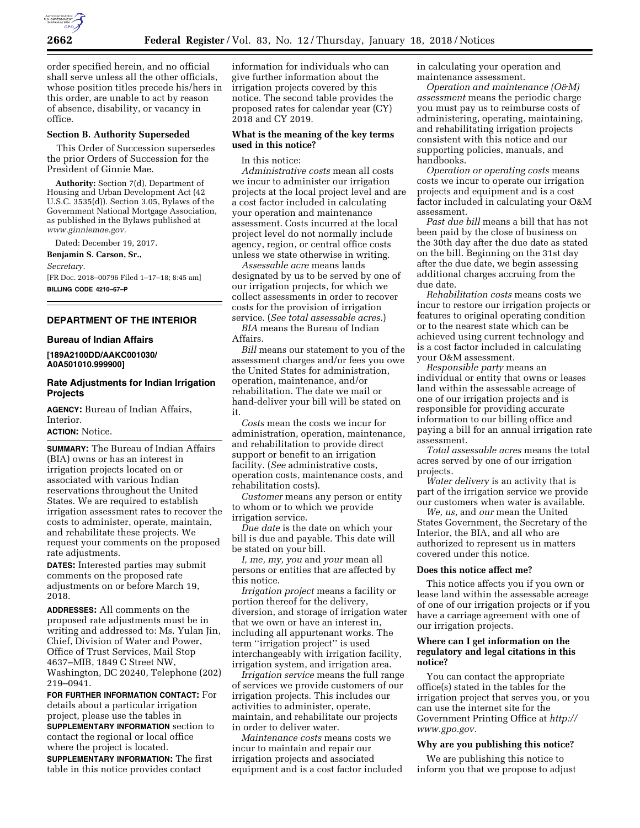

order specified herein, and no official shall serve unless all the other officials, whose position titles precede his/hers in this order, are unable to act by reason of absence, disability, or vacancy in office.

#### **Section B. Authority Superseded**

This Order of Succession supersedes the prior Orders of Succession for the President of Ginnie Mae.

**Authority:** Section 7(d), Department of Housing and Urban Development Act (42 U.S.C. 3535(d)). Section 3.05, Bylaws of the Government National Mortgage Association, as published in the Bylaws published at *[www.ginniemae.gov.](http://www.ginniemae.gov)* 

Dated: December 19, 2017.

**Benjamin S. Carson, Sr.,** 

*Secretary.* 

[FR Doc. 2018–00796 Filed 1–17–18; 8:45 am] **BILLING CODE 4210–67–P** 

# **DEPARTMENT OF THE INTERIOR**

#### **Bureau of Indian Affairs**

**[189A2100DD/AAKC001030/ A0A501010.999900]** 

# **Rate Adjustments for Indian Irrigation Projects**

**AGENCY:** Bureau of Indian Affairs, Interior.

## **ACTION:** Notice.

**SUMMARY:** The Bureau of Indian Affairs (BIA) owns or has an interest in irrigation projects located on or associated with various Indian reservations throughout the United States. We are required to establish irrigation assessment rates to recover the costs to administer, operate, maintain, and rehabilitate these projects. We request your comments on the proposed rate adjustments.

**DATES:** Interested parties may submit comments on the proposed rate adjustments on or before March 19, 2018.

**ADDRESSES:** All comments on the proposed rate adjustments must be in writing and addressed to: Ms. Yulan Jin, Chief, Division of Water and Power, Office of Trust Services, Mail Stop 4637–MIB, 1849 C Street NW, Washington, DC 20240, Telephone (202) 219–0941.

**FOR FURTHER INFORMATION CONTACT:** For details about a particular irrigation project, please use the tables in **SUPPLEMENTARY INFORMATION** section to contact the regional or local office where the project is located.

**SUPPLEMENTARY INFORMATION:** The first table in this notice provides contact

information for individuals who can give further information about the irrigation projects covered by this notice. The second table provides the proposed rates for calendar year (CY) 2018 and CY 2019.

#### **What is the meaning of the key terms used in this notice?**

In this notice:

*Administrative costs* mean all costs we incur to administer our irrigation projects at the local project level and are a cost factor included in calculating your operation and maintenance assessment. Costs incurred at the local project level do not normally include agency, region, or central office costs unless we state otherwise in writing.

*Assessable acre* means lands designated by us to be served by one of our irrigation projects, for which we collect assessments in order to recover costs for the provision of irrigation service. (*See total assessable acres.*)

*BIA* means the Bureau of Indian Affairs.

*Bill* means our statement to you of the assessment charges and/or fees you owe the United States for administration, operation, maintenance, and/or rehabilitation. The date we mail or hand-deliver your bill will be stated on it.

*Costs* mean the costs we incur for administration, operation, maintenance, and rehabilitation to provide direct support or benefit to an irrigation facility. (*See* administrative costs, operation costs, maintenance costs, and rehabilitation costs).

*Customer* means any person or entity to whom or to which we provide irrigation service.

*Due date* is the date on which your bill is due and payable. This date will be stated on your bill.

*I, me, my, you* and *your* mean all persons or entities that are affected by this notice.

*Irrigation project* means a facility or portion thereof for the delivery, diversion, and storage of irrigation water that we own or have an interest in, including all appurtenant works. The term ''irrigation project'' is used interchangeably with irrigation facility, irrigation system, and irrigation area.

*Irrigation service* means the full range of services we provide customers of our irrigation projects. This includes our activities to administer, operate, maintain, and rehabilitate our projects in order to deliver water.

*Maintenance costs* means costs we incur to maintain and repair our irrigation projects and associated equipment and is a cost factor included in calculating your operation and maintenance assessment.

*Operation and maintenance (O&M) assessment* means the periodic charge you must pay us to reimburse costs of administering, operating, maintaining, and rehabilitating irrigation projects consistent with this notice and our supporting policies, manuals, and handbooks.

*Operation or operating costs* means costs we incur to operate our irrigation projects and equipment and is a cost factor included in calculating your O&M assessment.

*Past due bill* means a bill that has not been paid by the close of business on the 30th day after the due date as stated on the bill. Beginning on the 31st day after the due date, we begin assessing additional charges accruing from the due date.

*Rehabilitation costs* means costs we incur to restore our irrigation projects or features to original operating condition or to the nearest state which can be achieved using current technology and is a cost factor included in calculating your O&M assessment.

*Responsible party* means an individual or entity that owns or leases land within the assessable acreage of one of our irrigation projects and is responsible for providing accurate information to our billing office and paying a bill for an annual irrigation rate assessment.

*Total assessable acres* means the total acres served by one of our irrigation projects.

*Water delivery* is an activity that is part of the irrigation service we provide our customers when water is available.

*We, us,* and *our* mean the United States Government, the Secretary of the Interior, the BIA, and all who are authorized to represent us in matters covered under this notice.

#### **Does this notice affect me?**

This notice affects you if you own or lease land within the assessable acreage of one of our irrigation projects or if you have a carriage agreement with one of our irrigation projects.

## **Where can I get information on the regulatory and legal citations in this notice?**

You can contact the appropriate office(s) stated in the tables for the irrigation project that serves you, or you can use the internet site for the Government Printing Office at *[http://](http://www.gpo.gov) [www.gpo.gov.](http://www.gpo.gov)* 

#### **Why are you publishing this notice?**

We are publishing this notice to inform you that we propose to adjust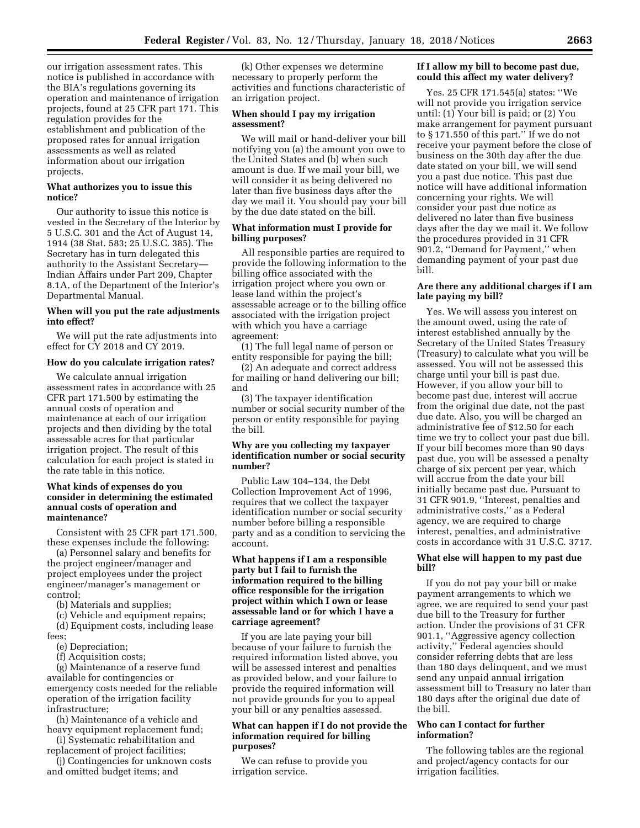our irrigation assessment rates. This notice is published in accordance with the BIA's regulations governing its operation and maintenance of irrigation projects, found at 25 CFR part 171. This regulation provides for the establishment and publication of the proposed rates for annual irrigation assessments as well as related information about our irrigation projects.

### **What authorizes you to issue this notice?**

Our authority to issue this notice is vested in the Secretary of the Interior by 5 U.S.C. 301 and the Act of August 14, 1914 (38 Stat. 583; 25 U.S.C. 385). The Secretary has in turn delegated this authority to the Assistant Secretary— Indian Affairs under Part 209, Chapter 8.1A, of the Department of the Interior's Departmental Manual.

### **When will you put the rate adjustments into effect?**

We will put the rate adjustments into effect for CY 2018 and CY 2019.

#### **How do you calculate irrigation rates?**

We calculate annual irrigation assessment rates in accordance with 25 CFR part 171.500 by estimating the annual costs of operation and maintenance at each of our irrigation projects and then dividing by the total assessable acres for that particular irrigation project. The result of this calculation for each project is stated in the rate table in this notice.

## **What kinds of expenses do you consider in determining the estimated annual costs of operation and maintenance?**

Consistent with 25 CFR part 171.500, these expenses include the following:

(a) Personnel salary and benefits for the project engineer/manager and project employees under the project engineer/manager's management or control;

(b) Materials and supplies;

(c) Vehicle and equipment repairs;

(d) Equipment costs, including lease fees;

(e) Depreciation;

(f) Acquisition costs;

(g) Maintenance of a reserve fund available for contingencies or emergency costs needed for the reliable operation of the irrigation facility infrastructure;

(h) Maintenance of a vehicle and heavy equipment replacement fund;

(i) Systematic rehabilitation and replacement of project facilities;

(j) Contingencies for unknown costs

and omitted budget items; and

(k) Other expenses we determine necessary to properly perform the activities and functions characteristic of an irrigation project.

## **When should I pay my irrigation assessment?**

We will mail or hand-deliver your bill notifying you (a) the amount you owe to the United States and (b) when such amount is due. If we mail your bill, we will consider it as being delivered no later than five business days after the day we mail it. You should pay your bill by the due date stated on the bill.

## **What information must I provide for billing purposes?**

All responsible parties are required to provide the following information to the billing office associated with the irrigation project where you own or lease land within the project's assessable acreage or to the billing office associated with the irrigation project with which you have a carriage agreement:

(1) The full legal name of person or entity responsible for paying the bill;

(2) An adequate and correct address for mailing or hand delivering our bill; and

(3) The taxpayer identification number or social security number of the person or entity responsible for paying the bill.

## **Why are you collecting my taxpayer identification number or social security number?**

Public Law 104–134, the Debt Collection Improvement Act of 1996, requires that we collect the taxpayer identification number or social security number before billing a responsible party and as a condition to servicing the account.

## **What happens if I am a responsible party but I fail to furnish the information required to the billing office responsible for the irrigation project within which I own or lease assessable land or for which I have a carriage agreement?**

If you are late paying your bill because of your failure to furnish the required information listed above, you will be assessed interest and penalties as provided below, and your failure to provide the required information will not provide grounds for you to appeal your bill or any penalties assessed.

## **What can happen if I do not provide the information required for billing purposes?**

We can refuse to provide you irrigation service.

# **If I allow my bill to become past due, could this affect my water delivery?**

Yes. 25 CFR 171.545(a) states: ''We will not provide you irrigation service until: (1) Your bill is paid; or (2) You make arrangement for payment pursuant to § 171.550 of this part.'' If we do not receive your payment before the close of business on the 30th day after the due date stated on your bill, we will send you a past due notice. This past due notice will have additional information concerning your rights. We will consider your past due notice as delivered no later than five business days after the day we mail it. We follow the procedures provided in 31 CFR 901.2, ''Demand for Payment,'' when demanding payment of your past due bill.

## **Are there any additional charges if I am late paying my bill?**

Yes. We will assess you interest on the amount owed, using the rate of interest established annually by the Secretary of the United States Treasury (Treasury) to calculate what you will be assessed. You will not be assessed this charge until your bill is past due. However, if you allow your bill to become past due, interest will accrue from the original due date, not the past due date. Also, you will be charged an administrative fee of \$12.50 for each time we try to collect your past due bill. If your bill becomes more than 90 days past due, you will be assessed a penalty charge of six percent per year, which will accrue from the date your bill initially became past due. Pursuant to 31 CFR 901.9, ''Interest, penalties and administrative costs,'' as a Federal agency, we are required to charge interest, penalties, and administrative costs in accordance with 31 U.S.C. 3717.

## **What else will happen to my past due bill?**

If you do not pay your bill or make payment arrangements to which we agree, we are required to send your past due bill to the Treasury for further action. Under the provisions of 31 CFR 901.1, ''Aggressive agency collection activity,'' Federal agencies should consider referring debts that are less than 180 days delinquent, and we must send any unpaid annual irrigation assessment bill to Treasury no later than 180 days after the original due date of the bill.

## **Who can I contact for further information?**

The following tables are the regional and project/agency contacts for our irrigation facilities.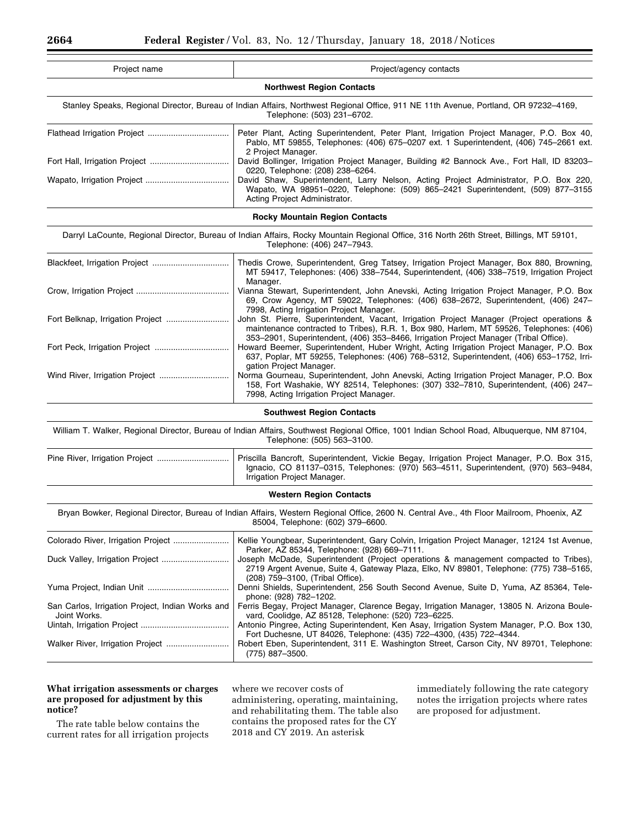| Project/agency contacts                                                                                                                                                                                                                                                       |  |  |  |
|-------------------------------------------------------------------------------------------------------------------------------------------------------------------------------------------------------------------------------------------------------------------------------|--|--|--|
| <b>Northwest Region Contacts</b>                                                                                                                                                                                                                                              |  |  |  |
| Stanley Speaks, Regional Director, Bureau of Indian Affairs, Northwest Regional Office, 911 NE 11th Avenue, Portland, OR 97232-4169,<br>Telephone: (503) 231-6702.                                                                                                            |  |  |  |
| Peter Plant, Acting Superintendent, Peter Plant, Irrigation Project Manager, P.O. Box 40,<br>Pablo, MT 59855, Telephones: (406) 675-0207 ext. 1 Superintendent, (406) 745-2661 ext.<br>2 Project Manager.                                                                     |  |  |  |
| David Bollinger, Irrigation Project Manager, Building #2 Bannock Ave., Fort Hall, ID 83203-                                                                                                                                                                                   |  |  |  |
| 0220, Telephone: (208) 238-6264.<br>David Shaw, Superintendent, Larry Nelson, Acting Project Administrator, P.O. Box 220,<br>Wapato, WA 98951-0220, Telephone: (509) 865-2421 Superintendent, (509) 877-3155<br>Acting Project Administrator.                                 |  |  |  |
| <b>Rocky Mountain Region Contacts</b>                                                                                                                                                                                                                                         |  |  |  |
| Darryl LaCounte, Regional Director, Bureau of Indian Affairs, Rocky Mountain Regional Office, 316 North 26th Street, Billings, MT 59101,<br>Telephone: (406) 247-7943.                                                                                                        |  |  |  |
| Thedis Crowe, Superintendent, Greg Tatsey, Irrigation Project Manager, Box 880, Browning,<br>MT 59417, Telephones: (406) 338-7544, Superintendent, (406) 338-7519, Irrigation Project<br>Manager.                                                                             |  |  |  |
| Vianna Stewart, Superintendent, John Anevski, Acting Irrigation Project Manager, P.O. Box<br>69, Crow Agency, MT 59022, Telephones: (406) 638-2672, Superintendent, (406) 247-<br>7998, Acting Irrigation Project Manager.                                                    |  |  |  |
| John St. Pierre, Superintendent, Vacant, Irrigation Project Manager (Project operations &<br>maintenance contracted to Tribes), R.R. 1, Box 980, Harlem, MT 59526, Telephones: (406)<br>353-2901, Superintendent, (406) 353-8466, Irrigation Project Manager (Tribal Office). |  |  |  |
| Howard Beemer, Superintendent, Huber Wright, Acting Irrigation Project Manager, P.O. Box<br>637, Poplar, MT 59255, Telephones: (406) 768-5312, Superintendent, (406) 653-1752, Irri-<br>gation Project Manager.                                                               |  |  |  |
| Norma Gourneau, Superintendent, John Anevski, Acting Irrigation Project Manager, P.O. Box<br>158, Fort Washakie, WY 82514, Telephones: (307) 332-7810, Superintendent, (406) 247-<br>7998, Acting Irrigation Project Manager.                                                 |  |  |  |
| <b>Southwest Region Contacts</b>                                                                                                                                                                                                                                              |  |  |  |
| William T. Walker, Regional Director, Bureau of Indian Affairs, Southwest Regional Office, 1001 Indian School Road, Albuquerque, NM 87104,<br>Telephone: (505) 563-3100.                                                                                                      |  |  |  |
| Priscilla Bancroft, Superintendent, Vickie Begay, Irrigation Project Manager, P.O. Box 315,<br>Ignacio, CO 81137-0315, Telephones: (970) 563-4511, Superintendent, (970) 563-9484,<br>Irrigation Project Manager.                                                             |  |  |  |
| <b>Western Region Contacts</b>                                                                                                                                                                                                                                                |  |  |  |
| Bryan Bowker, Regional Director, Bureau of Indian Affairs, Western Regional Office, 2600 N. Central Ave., 4th Floor Mailroom, Phoenix, AZ<br>85004, Telephone: (602) 379-6600.                                                                                                |  |  |  |
| Kellie Youngbear, Superintendent, Gary Colvin, Irrigation Project Manager, 12124 1st Avenue,<br>Parker, AZ 85344, Telephone: (928) 669-7111.                                                                                                                                  |  |  |  |
| Joseph McDade, Superintendent (Project operations & management compacted to Tribes),<br>2719 Argent Avenue, Suite 4, Gateway Plaza, Elko, NV 89801, Telephone: (775) 738-5165,<br>(208) 759-3100, (Tribal Office).                                                            |  |  |  |
| Denni Shields, Superintendent, 256 South Second Avenue, Suite D, Yuma, AZ 85364, Tele-<br>phone: (928) 782-1202.                                                                                                                                                              |  |  |  |
| Ferris Begay, Project Manager, Clarence Begay, Irrigation Manager, 13805 N. Arizona Boule-<br>vard, Coolidge, AZ 85128, Telephone: (520) 723-6225.                                                                                                                            |  |  |  |
| Antonio Pingree, Acting Superintendent, Ken Asay, Irrigation System Manager, P.O. Box 130,<br>Fort Duchesne, UT 84026, Telephone: (435) 722–4300, (435) 722–4344.                                                                                                             |  |  |  |
| Robert Eben, Superintendent, 311 E. Washington Street, Carson City, NV 89701, Telephone:<br>(775) 887-3500.                                                                                                                                                                   |  |  |  |
|                                                                                                                                                                                                                                                                               |  |  |  |

## **What irrigation assessments or charges are proposed for adjustment by this notice?**

The rate table below contains the current rates for all irrigation projects

where we recover costs of administering, operating, maintaining, and rehabilitating them. The table also contains the proposed rates for the CY 2018 and CY 2019. An asterisk

immediately following the rate category notes the irrigation projects where rates are proposed for adjustment.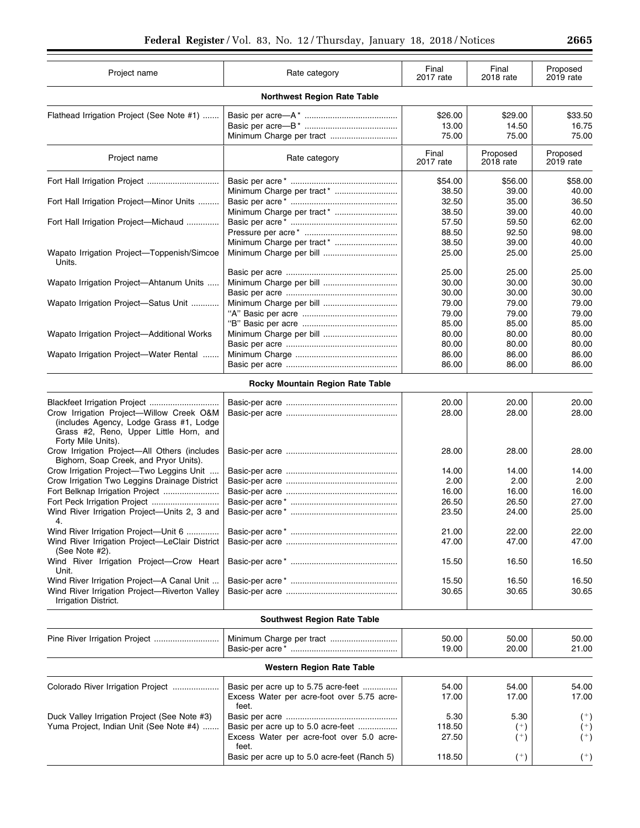| Project name                                                                                                                                        | Rate category                                                                              | Final<br>2017 rate | Final<br>2018 rate    | Proposed<br>2019 rate |
|-----------------------------------------------------------------------------------------------------------------------------------------------------|--------------------------------------------------------------------------------------------|--------------------|-----------------------|-----------------------|
|                                                                                                                                                     | <b>Northwest Region Rate Table</b>                                                         |                    |                       |                       |
| Flathead Irrigation Project (See Note #1)                                                                                                           |                                                                                            | \$26.00            | \$29.00               | \$33.50               |
|                                                                                                                                                     |                                                                                            | 13.00              | 14.50                 | 16.75                 |
|                                                                                                                                                     |                                                                                            | 75.00              | 75.00                 | 75.00                 |
| Project name                                                                                                                                        | Rate category                                                                              | Final<br>2017 rate | Proposed<br>2018 rate | Proposed<br>2019 rate |
| Fort Hall Irrigation Project                                                                                                                        | Minimum Charge per tract*                                                                  | \$54.00<br>38.50   | \$56.00<br>39.00      | \$58.00<br>40.00      |
| Fort Hall Irrigation Project-Minor Units                                                                                                            |                                                                                            | 32.50              | 35.00                 | 36.50                 |
|                                                                                                                                                     |                                                                                            | 38.50              | 39.00                 | 40.00                 |
| Fort Hall Irrigation Project-Michaud                                                                                                                |                                                                                            | 57.50              | 59.50                 | 62.00                 |
|                                                                                                                                                     |                                                                                            | 88.50              | 92.50                 | 98.00                 |
|                                                                                                                                                     | Minimum Charge per tract*                                                                  | 38.50              | 39.00                 | 40.00                 |
| Wapato Irrigation Project-Toppenish/Simcoe<br>Units.                                                                                                |                                                                                            | 25.00              | 25.00                 | 25.00                 |
|                                                                                                                                                     |                                                                                            | 25.00              | 25.00                 | 25.00                 |
| Wapato Irrigation Project-Ahtanum Units                                                                                                             |                                                                                            | 30.00              | 30.00                 | 30.00                 |
|                                                                                                                                                     |                                                                                            | 30.00              | 30.00                 | 30.00                 |
| Wapato Irrigation Project-Satus Unit                                                                                                                |                                                                                            | 79.00              | 79.00                 | 79.00                 |
|                                                                                                                                                     |                                                                                            | 79.00              | 79.00                 | 79.00                 |
|                                                                                                                                                     |                                                                                            | 85.00              | 85.00                 | 85.00                 |
| Wapato Irrigation Project-Additional Works                                                                                                          |                                                                                            | 80.00              | 80.00                 | 80.00                 |
|                                                                                                                                                     |                                                                                            | 80.00              | 80.00                 | 80.00                 |
| Wapato Irrigation Project—Water Rental                                                                                                              |                                                                                            | 86.00              | 86.00                 | 86.00                 |
|                                                                                                                                                     |                                                                                            | 86.00              | 86.00                 | 86.00                 |
|                                                                                                                                                     | Rocky Mountain Region Rate Table                                                           |                    |                       |                       |
|                                                                                                                                                     |                                                                                            | 20.00              | 20.00                 | 20.00                 |
| Crow Irrigation Project-Willow Creek O&M<br>(includes Agency, Lodge Grass #1, Lodge<br>Grass #2, Reno, Upper Little Horn, and<br>Forty Mile Units). |                                                                                            | 28.00              | 28.00                 | 28.00                 |
| Crow Irrigation Project-All Others (includes<br>Bighorn, Soap Creek, and Pryor Units).                                                              |                                                                                            | 28.00              | 28.00                 | 28.00                 |
| Crow Irrigation Project-Two Leggins Unit                                                                                                            |                                                                                            | 14.00              | 14.00                 | 14.00                 |
| Crow Irrigation Two Leggins Drainage District                                                                                                       |                                                                                            | 2.00               | 2.00                  | 2.00                  |
| Fort Belknap Irrigation Project                                                                                                                     |                                                                                            | 16.00              | 16.00                 | 16.00                 |
| Fort Peck Irrigation Project                                                                                                                        |                                                                                            | 26.50              | 26.50                 | 27.00                 |
| Wind River Irrigation Project-Units 2, 3 and<br>4.                                                                                                  |                                                                                            | 23.50              | 24.00                 | 25.00                 |
| Wind River Irrigation Project-Unit 6                                                                                                                |                                                                                            | 21.00              | 22.00                 | 22.00                 |
| Wind River Irrigation Project-LeClair District<br>(See Note #2).                                                                                    |                                                                                            | 47.00              | 47.00                 | 47.00                 |
| Wind River Irrigation Project-Crow Heart<br>Unit.                                                                                                   |                                                                                            | 15.50              | 16.50                 | 16.50                 |
| Wind River Irrigation Project-A Canal Unit                                                                                                          |                                                                                            | 15.50              | 16.50                 | 16.50                 |
| Wind River Irrigation Project-Riverton Valley<br>Irrigation District.                                                                               |                                                                                            | 30.65              | 30.65                 | 30.65                 |
|                                                                                                                                                     | <b>Southwest Region Rate Table</b>                                                         |                    |                       |                       |
|                                                                                                                                                     |                                                                                            | 50.00              | 50.00                 | 50.00                 |
|                                                                                                                                                     |                                                                                            | 19.00              | 20.00                 | 21.00                 |
|                                                                                                                                                     | <b>Western Region Rate Table</b>                                                           |                    |                       |                       |
|                                                                                                                                                     |                                                                                            |                    |                       |                       |
| Colorado River Irrigation Project                                                                                                                   | Basic per acre up to 5.75 acre-feet<br>Excess Water per acre-foot over 5.75 acre-<br>feet. | 54.00<br>17.00     | 54.00<br>17.00        | 54.00<br>17.00        |
| Duck Valley Irrigation Project (See Note #3)                                                                                                        |                                                                                            | 5.30               | 5.30                  | $^{(+)}$              |
| Yuma Project, Indian Unit (See Note #4)                                                                                                             | Basic per acre up to 5.0 acre-feet                                                         | 118.50             | $^{(+)}$              | $(+)$                 |
|                                                                                                                                                     | Excess Water per acre-foot over 5.0 acre-<br>feet.                                         | 27.50              | $^{(+)}$              | $^{(+)}$              |
|                                                                                                                                                     | Basic per acre up to 5.0 acre-feet (Ranch 5)                                               | 118.50             | $^{(+)}$              | $^{(+)}$              |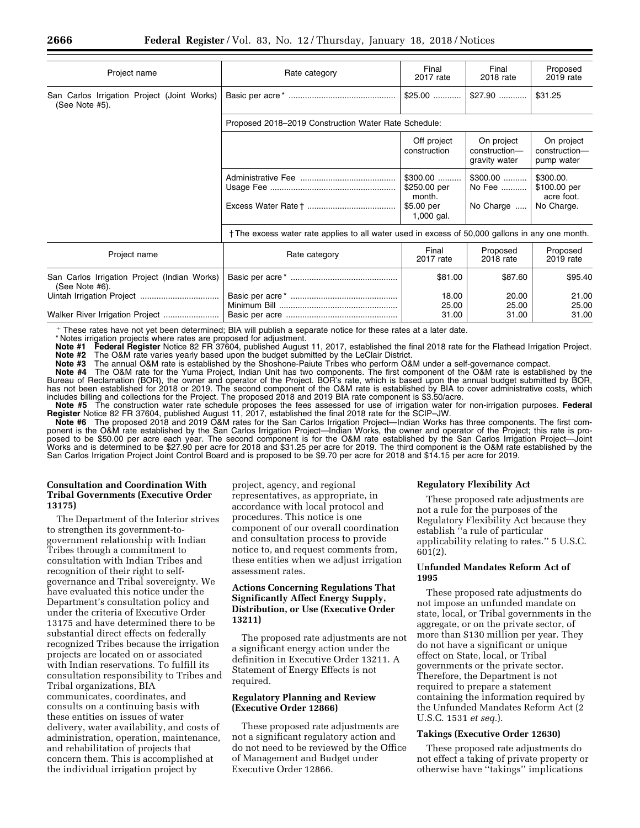| Project name                                                   | Rate category                                                                                   | Final<br>2017 rate                                                | Final<br>2018 rate                           | Proposed<br>2019 rate                                 |
|----------------------------------------------------------------|-------------------------------------------------------------------------------------------------|-------------------------------------------------------------------|----------------------------------------------|-------------------------------------------------------|
| San Carlos Irrigation Project (Joint Works)<br>(See Note #5).  |                                                                                                 | $$25.00$                                                          | $$27.90$                                     | \$31.25                                               |
|                                                                | Proposed 2018-2019 Construction Water Rate Schedule:                                            |                                                                   |                                              |                                                       |
|                                                                |                                                                                                 | Off project<br>construction                                       | On project<br>construction-<br>gravity water | On project<br>construction-<br>pump water             |
|                                                                |                                                                                                 | $$300.00$<br>\$250.00 per<br>month.<br>\$5.00 per<br>$1,000$ gal. | $$300.00$<br>No Fee<br>No Charge             | \$300.00.<br>\$100.00 per<br>acre foot.<br>No Charge. |
|                                                                | † The excess water rate applies to all water used in excess of 50,000 gallons in any one month. |                                                                   |                                              |                                                       |
| Project name                                                   | Rate category                                                                                   | Final<br>2017 rate                                                | Proposed<br>2018 rate                        | Proposed<br>2019 rate                                 |
| San Carlos Irrigation Project (Indian Works)<br>(See Note #6). |                                                                                                 | \$81.00                                                           | \$87.60                                      | \$95.40                                               |
|                                                                |                                                                                                 | 18.00<br>25.00                                                    | 20.00<br>25.00                               | 21.00<br>25.00                                        |
|                                                                |                                                                                                 | 31.00                                                             | 31.00                                        | 31.00                                                 |

∂ These rates have not yet been determined; BIA will publish a separate notice for these rates at a later date.

\* Notes irrigation projects where rates are proposed for adjustment.<br>Note #1 Federal Register Notice 82 FR 37604, published Augus

**Note #1 Federal Register** Notice 82 FR 37604, published August 11, 2017, established the final 2018 rate for the Flathead Irrigation Project. **Note #2** The O&M rate varies yearly based upon the budget submitted by the LeClair District Note #3 The annual O&M rate is established by the Shoshone-Paiute Tribes who perform O&

**Note #3** The annual O&M rate is established by the Shoshone-Paiute Tribes who perform O&M under a self-governance compact.

**Note #4** The O&M rate for the Yuma Project, Indian Unit has two components. The first component of the O&M rate is established by the Bureau of Reclamation (BOR), the owner and operator of the Project. BOR's rate, which is based upon the annual budget submitted by BOR, has not been established for 2018 or 2019. The second component of the O&M rate is established by BIA to cover administrative costs, which includes billing and collections for the Project. The proposed 2018 and 2019 BIA rate component is \$3.50/acre.

**Note #5** The construction water rate schedule proposes the fees assessed for use of irrigation water for non-irrigation purposes. **Federal Register** Notice 82 FR 37604, published August 11, 2017, established the final 2018 rate for the SCIP–JW.

**Note #6** The proposed 2018 and 2019 O&M rates for the San Carlos Irrigation Project—Indian Works has three components. The first component is the O&M rate established by the San Carlos Irrigation Project—Indian Works, the owner and operator of the Project; this rate is proposed to be \$50.00 per acre each year. The second component is for the O&M rate established by the San Carlos Irrigation Project—Joint Works and is determined to be \$27.90 per acre for 2018 and \$31.25 per acre for 2019. The third component is the O&M rate established by the San Carlos Irrigation Project Joint Control Board and is proposed to be \$9.70 per acre for 2018 and \$14.15 per acre for 2019.

## **Consultation and Coordination With Tribal Governments (Executive Order 13175)**

The Department of the Interior strives to strengthen its government-togovernment relationship with Indian Tribes through a commitment to consultation with Indian Tribes and recognition of their right to selfgovernance and Tribal sovereignty. We have evaluated this notice under the Department's consultation policy and under the criteria of Executive Order 13175 and have determined there to be substantial direct effects on federally recognized Tribes because the irrigation projects are located on or associated with Indian reservations. To fulfill its consultation responsibility to Tribes and Tribal organizations, BIA communicates, coordinates, and consults on a continuing basis with these entities on issues of water delivery, water availability, and costs of administration, operation, maintenance, and rehabilitation of projects that concern them. This is accomplished at the individual irrigation project by

project, agency, and regional representatives, as appropriate, in accordance with local protocol and procedures. This notice is one component of our overall coordination and consultation process to provide notice to, and request comments from, these entities when we adjust irrigation assessment rates.

# **Actions Concerning Regulations That Significantly Affect Energy Supply, Distribution, or Use (Executive Order 13211)**

The proposed rate adjustments are not a significant energy action under the definition in Executive Order 13211. A Statement of Energy Effects is not required.

## **Regulatory Planning and Review (Executive Order 12866)**

These proposed rate adjustments are not a significant regulatory action and do not need to be reviewed by the Office of Management and Budget under Executive Order 12866.

## **Regulatory Flexibility Act**

These proposed rate adjustments are not a rule for the purposes of the Regulatory Flexibility Act because they establish ''a rule of particular applicability relating to rates.'' 5 U.S.C. 601(2).

## **Unfunded Mandates Reform Act of 1995**

These proposed rate adjustments do not impose an unfunded mandate on state, local, or Tribal governments in the aggregate, or on the private sector, of more than \$130 million per year. They do not have a significant or unique effect on State, local, or Tribal governments or the private sector. Therefore, the Department is not required to prepare a statement containing the information required by the Unfunded Mandates Reform Act (2 U.S.C. 1531 *et seq.*).

## **Takings (Executive Order 12630)**

These proposed rate adjustments do not effect a taking of private property or otherwise have ''takings'' implications